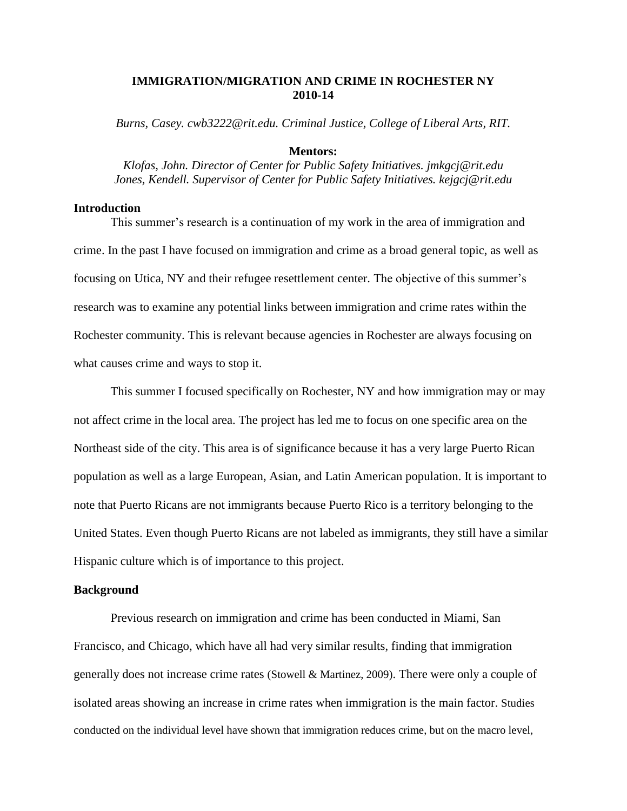# **IMMIGRATION/MIGRATION AND CRIME IN ROCHESTER NY 2010-14**

*Burns, Casey. cwb3222@rit.edu. Criminal Justice, College of Liberal Arts, RIT.*

# **Mentors:**

*Klofas, John. Director of Center for Public Safety Initiatives. jmkgcj@rit.edu Jones, Kendell. Supervisor of Center for Public Safety Initiatives. kejgcj@rit.edu*

## **Introduction**

This summer's research is a continuation of my work in the area of immigration and crime. In the past I have focused on immigration and crime as a broad general topic, as well as focusing on Utica, NY and their refugee resettlement center. The objective of this summer's research was to examine any potential links between immigration and crime rates within the Rochester community. This is relevant because agencies in Rochester are always focusing on what causes crime and ways to stop it.

This summer I focused specifically on Rochester, NY and how immigration may or may not affect crime in the local area. The project has led me to focus on one specific area on the Northeast side of the city. This area is of significance because it has a very large Puerto Rican population as well as a large European, Asian, and Latin American population. It is important to note that Puerto Ricans are not immigrants because Puerto Rico is a territory belonging to the United States. Even though Puerto Ricans are not labeled as immigrants, they still have a similar Hispanic culture which is of importance to this project.

## **Background**

Previous research on immigration and crime has been conducted in Miami, San Francisco, and Chicago, which have all had very similar results, finding that immigration generally does not increase crime rates (Stowell & Martinez, 2009). There were only a couple of isolated areas showing an increase in crime rates when immigration is the main factor. Studies conducted on the individual level have shown that immigration reduces crime, but on the macro level,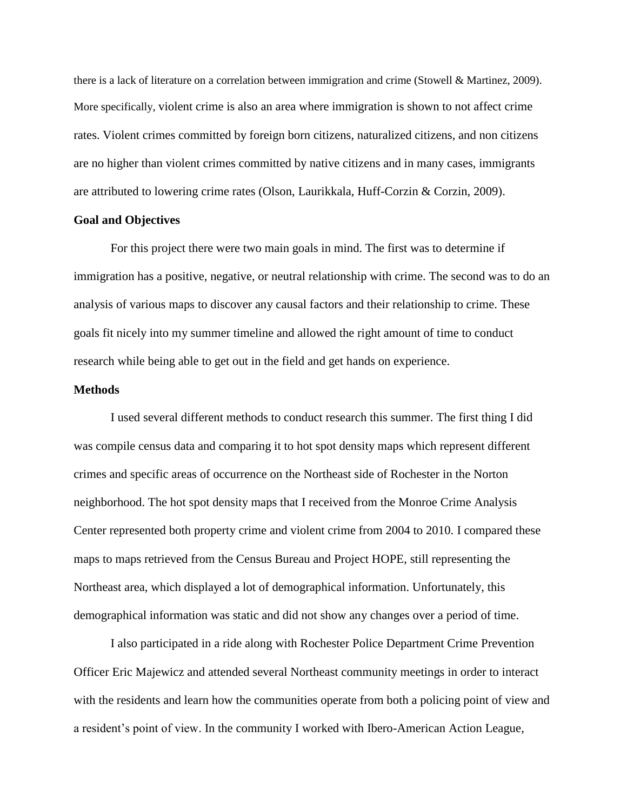there is a lack of literature on a correlation between immigration and crime (Stowell & Martinez, 2009). More specifically, violent crime is also an area where immigration is shown to not affect crime rates. Violent crimes committed by foreign born citizens, naturalized citizens, and non citizens are no higher than violent crimes committed by native citizens and in many cases, immigrants are attributed to lowering crime rates (Olson, Laurikkala, Huff-Corzin & Corzin, 2009).

# **Goal and Objectives**

For this project there were two main goals in mind. The first was to determine if immigration has a positive, negative, or neutral relationship with crime. The second was to do an analysis of various maps to discover any causal factors and their relationship to crime. These goals fit nicely into my summer timeline and allowed the right amount of time to conduct research while being able to get out in the field and get hands on experience.

## **Methods**

I used several different methods to conduct research this summer. The first thing I did was compile census data and comparing it to hot spot density maps which represent different crimes and specific areas of occurrence on the Northeast side of Rochester in the Norton neighborhood. The hot spot density maps that I received from the Monroe Crime Analysis Center represented both property crime and violent crime from 2004 to 2010. I compared these maps to maps retrieved from the Census Bureau and Project HOPE, still representing the Northeast area, which displayed a lot of demographical information. Unfortunately, this demographical information was static and did not show any changes over a period of time.

I also participated in a ride along with Rochester Police Department Crime Prevention Officer Eric Majewicz and attended several Northeast community meetings in order to interact with the residents and learn how the communities operate from both a policing point of view and a resident's point of view. In the community I worked with Ibero-American Action League,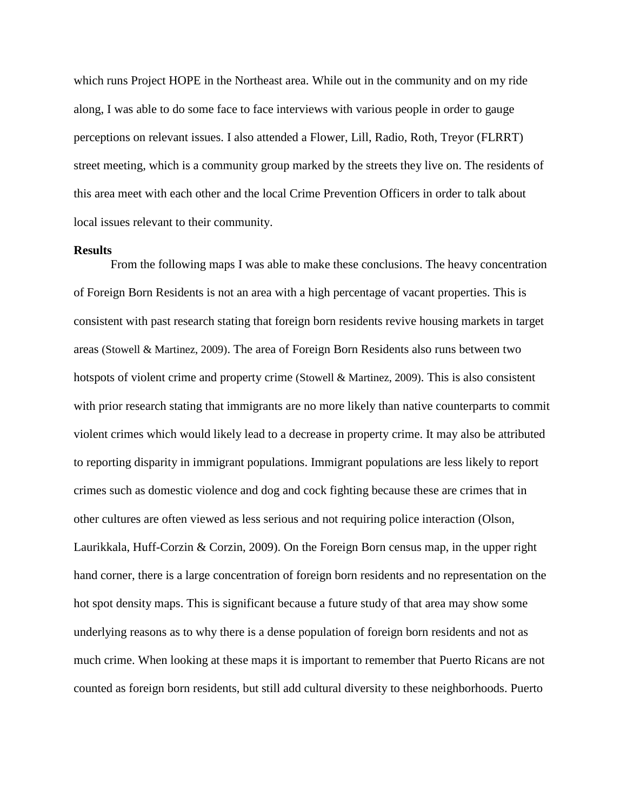which runs Project HOPE in the Northeast area. While out in the community and on my ride along, I was able to do some face to face interviews with various people in order to gauge perceptions on relevant issues. I also attended a Flower, Lill, Radio, Roth, Treyor (FLRRT) street meeting, which is a community group marked by the streets they live on. The residents of this area meet with each other and the local Crime Prevention Officers in order to talk about local issues relevant to their community.

#### **Results**

From the following maps I was able to make these conclusions. The heavy concentration of Foreign Born Residents is not an area with a high percentage of vacant properties. This is consistent with past research stating that foreign born residents revive housing markets in target areas (Stowell & Martinez, 2009). The area of Foreign Born Residents also runs between two hotspots of violent crime and property crime (Stowell & Martinez, 2009). This is also consistent with prior research stating that immigrants are no more likely than native counterparts to commit violent crimes which would likely lead to a decrease in property crime. It may also be attributed to reporting disparity in immigrant populations. Immigrant populations are less likely to report crimes such as domestic violence and dog and cock fighting because these are crimes that in other cultures are often viewed as less serious and not requiring police interaction (Olson, Laurikkala, Huff-Corzin & Corzin, 2009). On the Foreign Born census map, in the upper right hand corner, there is a large concentration of foreign born residents and no representation on the hot spot density maps. This is significant because a future study of that area may show some underlying reasons as to why there is a dense population of foreign born residents and not as much crime. When looking at these maps it is important to remember that Puerto Ricans are not counted as foreign born residents, but still add cultural diversity to these neighborhoods. Puerto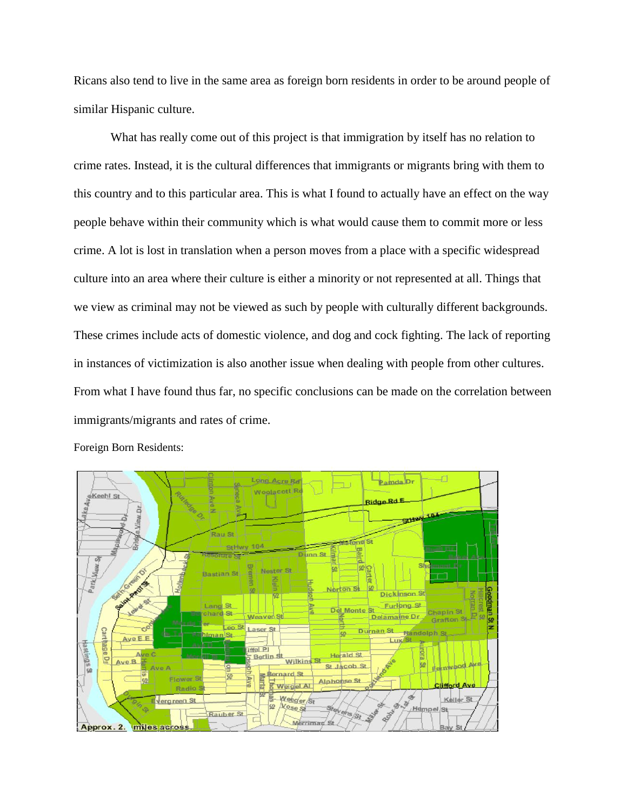Ricans also tend to live in the same area as foreign born residents in order to be around people of similar Hispanic culture.

What has really come out of this project is that immigration by itself has no relation to crime rates. Instead, it is the cultural differences that immigrants or migrants bring with them to this country and to this particular area. This is what I found to actually have an effect on the way people behave within their community which is what would cause them to commit more or less crime. A lot is lost in translation when a person moves from a place with a specific widespread culture into an area where their culture is either a minority or not represented at all. Things that we view as criminal may not be viewed as such by people with culturally different backgrounds. These crimes include acts of domestic violence, and dog and cock fighting. The lack of reporting in instances of victimization is also another issue when dealing with people from other cultures. From what I have found thus far, no specific conclusions can be made on the correlation between immigrants/migrants and rates of crime.



Foreign Born Residents: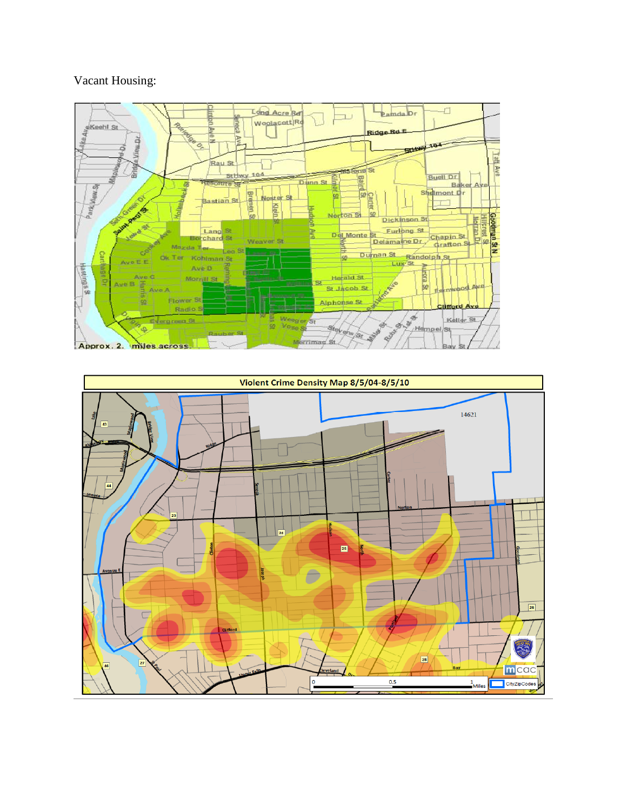# Vacant Housing:



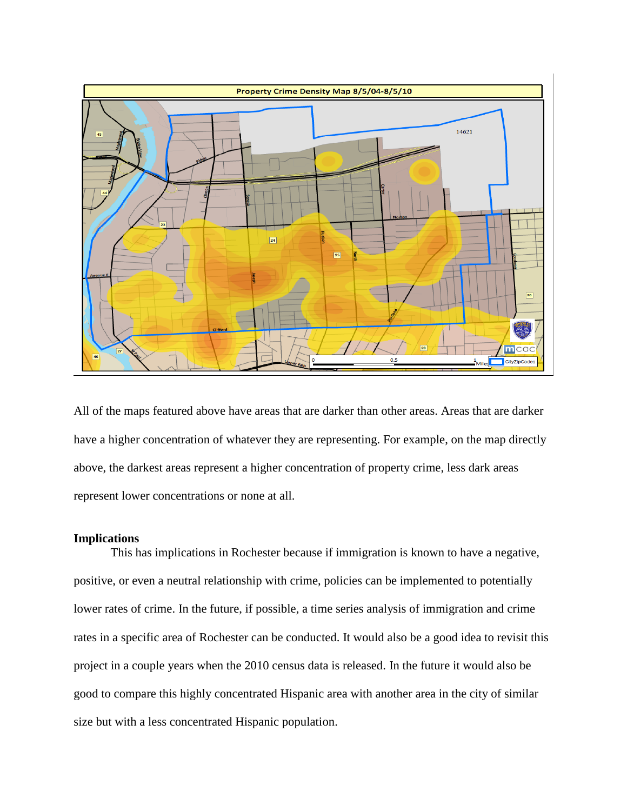

All of the maps featured above have areas that are darker than other areas. Areas that are darker have a higher concentration of whatever they are representing. For example, on the map directly above, the darkest areas represent a higher concentration of property crime, less dark areas represent lower concentrations or none at all.

## **Implications**

This has implications in Rochester because if immigration is known to have a negative, positive, or even a neutral relationship with crime, policies can be implemented to potentially lower rates of crime. In the future, if possible, a time series analysis of immigration and crime rates in a specific area of Rochester can be conducted. It would also be a good idea to revisit this project in a couple years when the 2010 census data is released. In the future it would also be good to compare this highly concentrated Hispanic area with another area in the city of similar size but with a less concentrated Hispanic population.